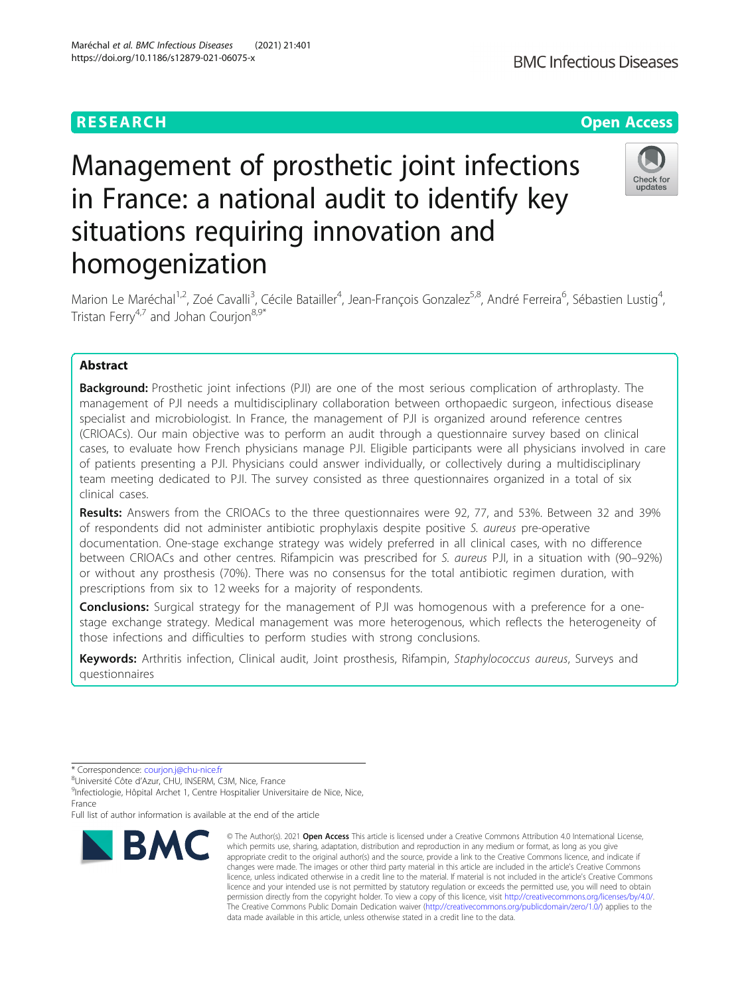# Management of prosthetic joint infections in France: a national audit to identify key situations requiring innovation and homogenization

Marion Le Maréchal<sup>1,2</sup>, Zoé Cavalli<sup>3</sup>, Cécile Batailler<sup>4</sup>, Jean-François Gonzalez<sup>5,8</sup>, André Ferreira<sup>6</sup>, Sébastien Lustig<sup>4</sup> , Tristan Ferry<sup>4,7</sup> and Johan Courjon<sup>8,9\*</sup>

# Abstract

**Background:** Prosthetic joint infections (PJI) are one of the most serious complication of arthroplasty. The management of PJI needs a multidisciplinary collaboration between orthopaedic surgeon, infectious disease specialist and microbiologist. In France, the management of PJI is organized around reference centres (CRIOACs). Our main objective was to perform an audit through a questionnaire survey based on clinical cases, to evaluate how French physicians manage PJI. Eligible participants were all physicians involved in care of patients presenting a PJI. Physicians could answer individually, or collectively during a multidisciplinary team meeting dedicated to PJI. The survey consisted as three questionnaires organized in a total of six clinical cases.

Results: Answers from the CRIOACs to the three questionnaires were 92, 77, and 53%. Between 32 and 39% of respondents did not administer antibiotic prophylaxis despite positive S. aureus pre-operative documentation. One-stage exchange strategy was widely preferred in all clinical cases, with no difference between CRIOACs and other centres. Rifampicin was prescribed for S. aureus PJI, in a situation with (90–92%) or without any prosthesis (70%). There was no consensus for the total antibiotic regimen duration, with prescriptions from six to 12 weeks for a majority of respondents.

**Conclusions:** Surgical strategy for the management of PJI was homogenous with a preference for a onestage exchange strategy. Medical management was more heterogenous, which reflects the heterogeneity of those infections and difficulties to perform studies with strong conclusions.

Keywords: Arthritis infection, Clinical audit, Joint prosthesis, Rifampin, Staphylococcus aureus, Surveys and questionnaires



<sup>©</sup> The Author(s), 2021 **Open Access** This article is licensed under a Creative Commons Attribution 4.0 International License, which permits use, sharing, adaptation, distribution and reproduction in any medium or format, as long as you give appropriate credit to the original author(s) and the source, provide a link to the Creative Commons licence, and indicate if changes were made. The images or other third party material in this article are included in the article's Creative Commons licence, unless indicated otherwise in a credit line to the material. If material is not included in the article's Creative Commons licence and your intended use is not permitted by statutory regulation or exceeds the permitted use, you will need to obtain permission directly from the copyright holder. To view a copy of this licence, visit [http://creativecommons.org/licenses/by/4.0/.](http://creativecommons.org/licenses/by/4.0/) The Creative Commons Public Domain Dedication waiver [\(http://creativecommons.org/publicdomain/zero/1.0/](http://creativecommons.org/publicdomain/zero/1.0/)) applies to the data made available in this article, unless otherwise stated in a credit line to the data.



# **RESEARCH CHE Open Access**

<sup>\*</sup> Correspondence: [courjon.j@chu-nice.fr](mailto:courjon.j@chu-nice.fr) <sup>8</sup>

<sup>8</sup>Université Côte d'Azur, CHU, INSERM, C3M, Nice, France

<sup>&</sup>lt;sup>9</sup>Infectiologie, Hôpital Archet 1, Centre Hospitalier Universitaire de Nice, Nice, France

Full list of author information is available at the end of the article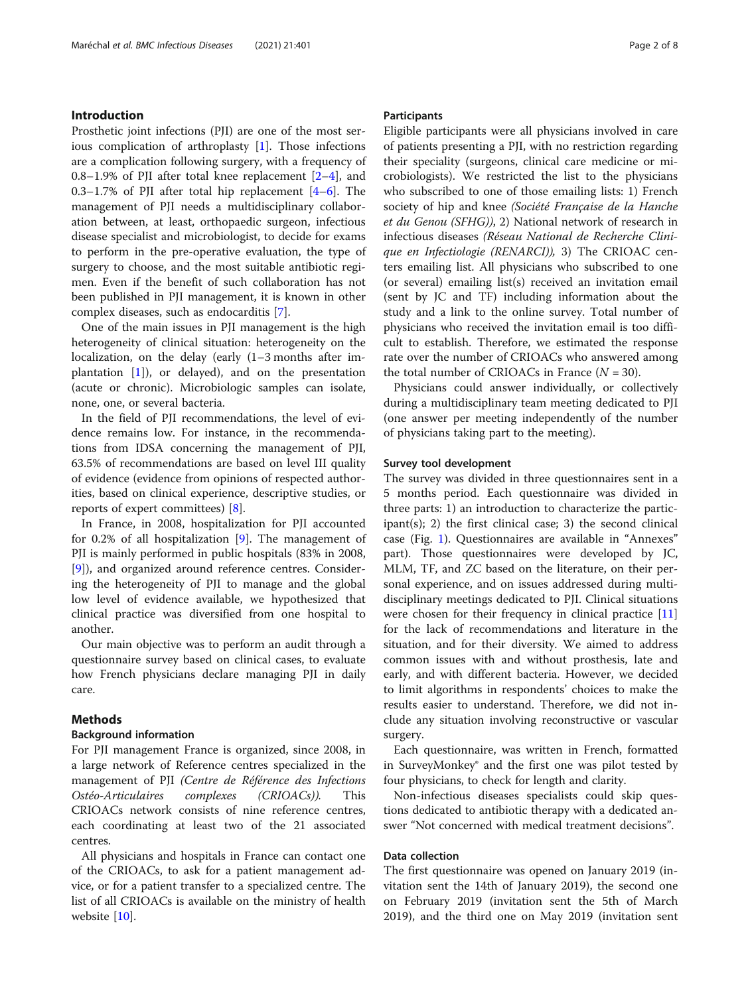#### <span id="page-1-0"></span>Introduction

Prosthetic joint infections (PJI) are one of the most serious complication of arthroplasty [[1\]](#page-6-0). Those infections are a complication following surgery, with a frequency of 0.8–1.9% of PJI after total knee replacement [\[2](#page-7-0)–[4](#page-7-0)], and 0.3–1.7% of PJI after total hip replacement [[4](#page-7-0)–[6](#page-7-0)]. The management of PJI needs a multidisciplinary collaboration between, at least, orthopaedic surgeon, infectious disease specialist and microbiologist, to decide for exams to perform in the pre-operative evaluation, the type of surgery to choose, and the most suitable antibiotic regimen. Even if the benefit of such collaboration has not been published in PJI management, it is known in other complex diseases, such as endocarditis [[7\]](#page-7-0).

One of the main issues in PJI management is the high heterogeneity of clinical situation: heterogeneity on the localization, on the delay (early (1–3 months after implantation  $[1]$  $[1]$ ), or delayed), and on the presentation (acute or chronic). Microbiologic samples can isolate, none, one, or several bacteria.

In the field of PJI recommendations, the level of evidence remains low. For instance, in the recommendations from IDSA concerning the management of PJI, 63.5% of recommendations are based on level III quality of evidence (evidence from opinions of respected authorities, based on clinical experience, descriptive studies, or reports of expert committees) [[8\]](#page-7-0).

In France, in 2008, hospitalization for PJI accounted for 0.2% of all hospitalization [[9\]](#page-7-0). The management of PJI is mainly performed in public hospitals (83% in 2008, [[9\]](#page-7-0)), and organized around reference centres. Considering the heterogeneity of PJI to manage and the global low level of evidence available, we hypothesized that clinical practice was diversified from one hospital to another.

Our main objective was to perform an audit through a questionnaire survey based on clinical cases, to evaluate how French physicians declare managing PJI in daily care.

#### Methods

#### Background information

For PJI management France is organized, since 2008, in a large network of Reference centres specialized in the management of PJI (Centre de Référence des Infections Ostéo-Articulaires complexes (CRIOACs)). This CRIOACs network consists of nine reference centres, each coordinating at least two of the 21 associated centres.

All physicians and hospitals in France can contact one of the CRIOACs, to ask for a patient management advice, or for a patient transfer to a specialized centre. The list of all CRIOACs is available on the ministry of health website [\[10\]](#page-7-0).

#### Participants

Eligible participants were all physicians involved in care of patients presenting a PJI, with no restriction regarding their speciality (surgeons, clinical care medicine or microbiologists). We restricted the list to the physicians who subscribed to one of those emailing lists: 1) French society of hip and knee (Société Française de la Hanche et du Genou (SFHG)), 2) National network of research in infectious diseases (Réseau National de Recherche Clinique en Infectiologie (RENARCI)), 3) The CRIOAC centers emailing list. All physicians who subscribed to one (or several) emailing list(s) received an invitation email (sent by JC and TF) including information about the study and a link to the online survey. Total number of physicians who received the invitation email is too difficult to establish. Therefore, we estimated the response rate over the number of CRIOACs who answered among the total number of CRIOACs in France  $(N = 30)$ .

Physicians could answer individually, or collectively during a multidisciplinary team meeting dedicated to PJI (one answer per meeting independently of the number of physicians taking part to the meeting).

#### Survey tool development

The survey was divided in three questionnaires sent in a 5 months period. Each questionnaire was divided in three parts: 1) an introduction to characterize the participant(s); 2) the first clinical case; 3) the second clinical case (Fig. [1\)](#page-2-0). Questionnaires are available in "Annexes" part). Those questionnaires were developed by JC, MLM, TF, and ZC based on the literature, on their personal experience, and on issues addressed during multidisciplinary meetings dedicated to PJI. Clinical situations were chosen for their frequency in clinical practice [[11](#page-7-0)] for the lack of recommendations and literature in the situation, and for their diversity. We aimed to address common issues with and without prosthesis, late and early, and with different bacteria. However, we decided to limit algorithms in respondents' choices to make the results easier to understand. Therefore, we did not include any situation involving reconstructive or vascular surgery.

Each questionnaire, was written in French, formatted in SurveyMonkey® and the first one was pilot tested by four physicians, to check for length and clarity.

Non-infectious diseases specialists could skip questions dedicated to antibiotic therapy with a dedicated answer "Not concerned with medical treatment decisions".

#### Data collection

The first questionnaire was opened on January 2019 (invitation sent the 14th of January 2019), the second one on February 2019 (invitation sent the 5th of March 2019), and the third one on May 2019 (invitation sent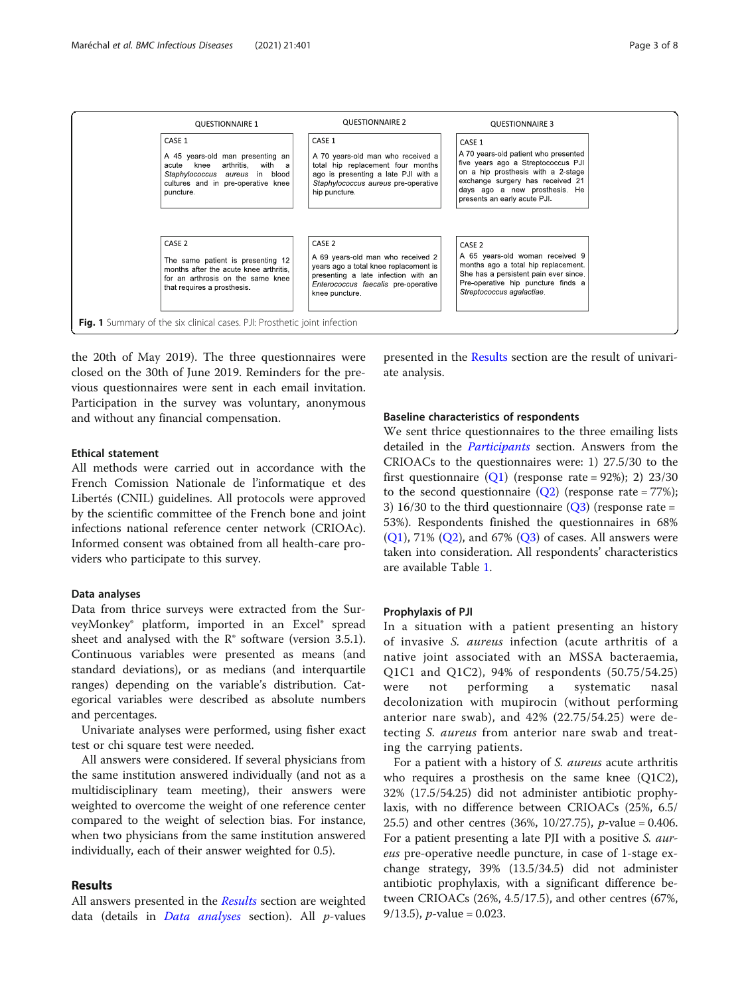<span id="page-2-0"></span>

the 20th of May 2019). The three questionnaires were closed on the 30th of June 2019. Reminders for the previous questionnaires were sent in each email invitation. Participation in the survey was voluntary, anonymous and without any financial compensation.

#### Ethical statement

All methods were carried out in accordance with the French Comission Nationale de l'informatique et des Libertés (CNIL) guidelines. All protocols were approved by the scientific committee of the French bone and joint infections national reference center network (CRIOAc). Informed consent was obtained from all health-care providers who participate to this survey.

#### Data analyses

Data from thrice surveys were extracted from the SurveyMonkey® platform, imported in an Excel® spread sheet and analysed with the  $\mathbb{R}^*$  software (version 3.5.1). Continuous variables were presented as means (and standard deviations), or as medians (and interquartile ranges) depending on the variable's distribution. Categorical variables were described as absolute numbers and percentages.

Univariate analyses were performed, using fisher exact test or chi square test were needed.

All answers were considered. If several physicians from the same institution answered individually (and not as a multidisciplinary team meeting), their answers were weighted to overcome the weight of one reference center compared to the weight of selection bias. For instance, when two physicians from the same institution answered individually, each of their answer weighted for 0.5).

#### Results

All answers presented in the Results section are weighted data (details in *Data analyses* section). All  $p$ -values

presented in the Results section are the result of univariate analysis.

#### Baseline characteristics of respondents

We sent thrice questionnaires to the three emailing lists detailed in the [Participants](#page-1-0) section. Answers from the CRIOACs to the questionnaires were: 1) 27.5/30 to the first questionnaire  $(Q1)$  $(Q1)$  (response rate = 92%); 2) 23/30 to the second questionnaire  $(Q2)$  $(Q2)$  $(Q2)$  (response rate = 77%); 3) 16/30 to the third questionnaire  $(Q3)$  $(Q3)$  (response rate = 53%). Respondents finished the questionnaires in 68%  $(O1)$ , 71%  $(O2)$ , and 67%  $(O3)$  of cases. All answers were taken into consideration. All respondents' characteristics are available Table [1.](#page-3-0)

#### Prophylaxis of PJI

In a situation with a patient presenting an history of invasive S. aureus infection (acute arthritis of a native joint associated with an MSSA bacteraemia, Q1C1 and Q1C2), 94% of respondents (50.75/54.25) were not performing a systematic nasal decolonization with mupirocin (without performing anterior nare swab), and 42% (22.75/54.25) were detecting S. aureus from anterior nare swab and treating the carrying patients.

For a patient with a history of S. aureus acute arthritis who requires a prosthesis on the same knee (Q1C2), 32% (17.5/54.25) did not administer antibiotic prophylaxis, with no difference between CRIOACs (25%, 6.5/ 25.5) and other centres (36%, 10/27.75), p-value = 0.406. For a patient presenting a late PJI with a positive S. aureus pre-operative needle puncture, in case of 1-stage exchange strategy, 39% (13.5/34.5) did not administer antibiotic prophylaxis, with a significant difference between CRIOACs (26%, 4.5/17.5), and other centres (67%, 9/13.5), *p*-value = 0.023.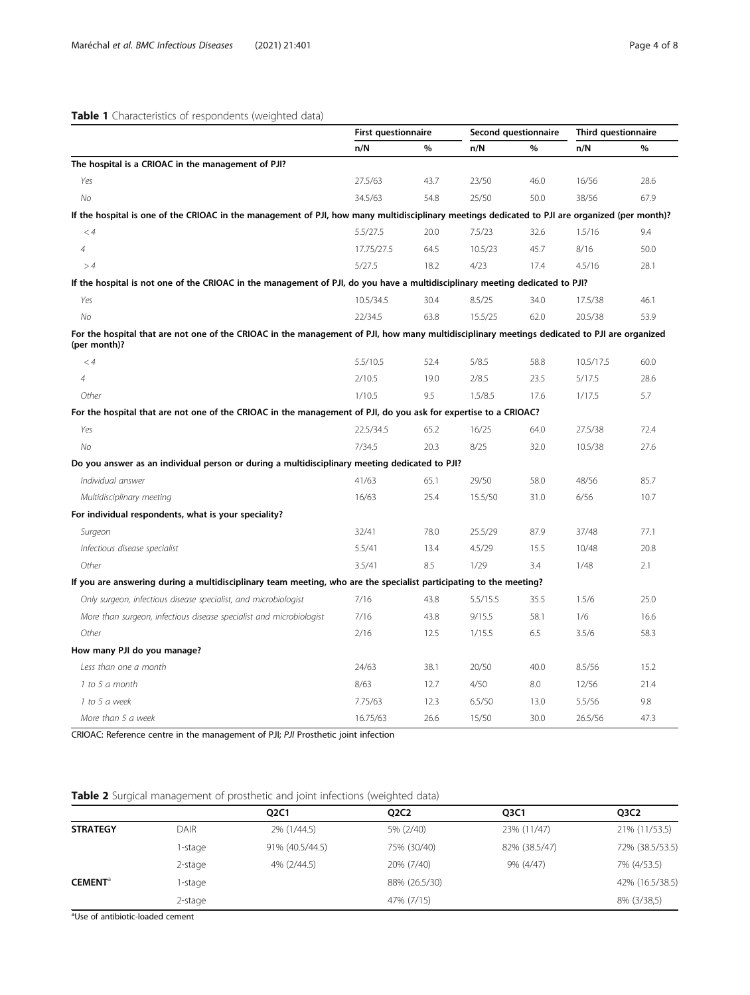### <span id="page-3-0"></span>Table 1 Characteristics of respondents (weighted data)

|                                                                                                                                                              | <b>First questionnaire</b> |      | Second questionnaire |      | Third questionnaire |      |
|--------------------------------------------------------------------------------------------------------------------------------------------------------------|----------------------------|------|----------------------|------|---------------------|------|
|                                                                                                                                                              | n/N                        | %    | n/N                  | %    | n/N                 | %    |
| The hospital is a CRIOAC in the management of PJI?                                                                                                           |                            |      |                      |      |                     |      |
| Yes                                                                                                                                                          | 27.5/63                    | 43.7 | 23/50                | 46.0 | 16/56               | 28.6 |
| No                                                                                                                                                           | 34.5/63                    | 54.8 | 25/50                | 50.0 | 38/56               | 67.9 |
| If the hospital is one of the CRIOAC in the management of PJI, how many multidisciplinary meetings dedicated to PJI are organized (per month)?               |                            |      |                      |      |                     |      |
| < 4                                                                                                                                                          | 5.5/27.5                   | 20.0 | 7.5/23               | 32.6 | 1.5/16              | 9.4  |
| $\overline{4}$                                                                                                                                               | 17.75/27.5                 | 64.5 | 10.5/23              | 45.7 | 8/16                | 50.0 |
| >4                                                                                                                                                           | 5/27.5                     | 18.2 | 4/23                 | 17.4 | 4.5/16              | 28.1 |
| If the hospital is not one of the CRIOAC in the management of PJI, do you have a multidisciplinary meeting dedicated to PJI?                                 |                            |      |                      |      |                     |      |
| Yes                                                                                                                                                          | 10.5/34.5                  | 30.4 | 8.5/25               | 34.0 | 17.5/38             | 46.1 |
| No                                                                                                                                                           | 22/34.5                    | 63.8 | 15.5/25              | 62.0 | 20.5/38             | 53.9 |
| For the hospital that are not one of the CRIOAC in the management of PJI, how many multidisciplinary meetings dedicated to PJI are organized<br>(per month)? |                            |      |                      |      |                     |      |
| < 4                                                                                                                                                          | 5.5/10.5                   | 52.4 | 5/8.5                | 58.8 | 10.5/17.5           | 60.0 |
| $\overline{4}$                                                                                                                                               | 2/10.5                     | 19.0 | 2/8.5                | 23.5 | 5/17.5              | 28.6 |
| Other                                                                                                                                                        | 1/10.5                     | 9.5  | 1.5/8.5              | 17.6 | 1/17.5              | 5.7  |
| For the hospital that are not one of the CRIOAC in the management of PJI, do you ask for expertise to a CRIOAC?                                              |                            |      |                      |      |                     |      |
| Yes                                                                                                                                                          | 22.5/34.5                  | 65.2 | 16/25                | 64.0 | 27.5/38             | 72.4 |
| No                                                                                                                                                           | 7/34.5                     | 20.3 | 8/25                 | 32.0 | 10.5/38             | 27.6 |
| Do you answer as an individual person or during a multidisciplinary meeting dedicated to PJI?                                                                |                            |      |                      |      |                     |      |
| Individual answer                                                                                                                                            | 41/63                      | 65.1 | 29/50                | 58.0 | 48/56               | 85.7 |
| Multidisciplinary meeting                                                                                                                                    | 16/63                      | 25.4 | 15.5/50              | 31.0 | 6/56                | 10.7 |
| For individual respondents, what is your speciality?                                                                                                         |                            |      |                      |      |                     |      |
| Surgeon                                                                                                                                                      | 32/41                      | 78.0 | 25.5/29              | 87.9 | 37/48               | 77.1 |
| Infectious disease specialist                                                                                                                                | 5.5/41                     | 13.4 | 4.5/29               | 15.5 | 10/48               | 20.8 |
| Other                                                                                                                                                        | 3.5/41                     | 8.5  | 1/29                 | 3.4  | 1/48                | 2.1  |
| If you are answering during a multidisciplinary team meeting, who are the specialist participating to the meeting?                                           |                            |      |                      |      |                     |      |
| Only surgeon, infectious disease specialist, and microbiologist                                                                                              | 7/16                       | 43.8 | 5.5/15.5             | 35.5 | 1.5/6               | 25.0 |
| More than surgeon, infectious disease specialist and microbiologist                                                                                          | 7/16                       | 43.8 | 9/15.5               | 58.1 | 1/6                 | 16.6 |
| Other                                                                                                                                                        | 2/16                       | 12.5 | 1/15.5               | 6.5  | 3.5/6               | 58.3 |
| How many PJI do you manage?                                                                                                                                  |                            |      |                      |      |                     |      |
| Less than one a month                                                                                                                                        | 24/63                      | 38.1 | 20/50                | 40.0 | 8.5/56              | 15.2 |
| 1 to 5 a month                                                                                                                                               | 8/63                       | 12.7 | 4/50                 | 8.0  | 12/56               | 21.4 |
| 1 to 5 a week                                                                                                                                                | 7.75/63                    | 12.3 | 6.5/50               | 13.0 | 5.5/56              | 9.8  |
| More than 5 a week                                                                                                                                           | 16.75/63                   | 26.6 | 15/50                | 30.0 | 26.5/56             | 47.3 |

CRIOAC: Reference centre in the management of PJI; PJI Prosthetic joint infection

## Table 2 Surgical management of prosthetic and joint infections (weighted data)

|                            |             | Q2C1            | <b>Q2C2</b>   | Q <sub>3</sub> C <sub>1</sub> | O3C2            |
|----------------------------|-------------|-----------------|---------------|-------------------------------|-----------------|
| <b>STRATEGY</b>            | <b>DAIR</b> | 2% (1/44.5)     | 5% (2/40)     | 23% (11/47)                   | 21% (11/53.5)   |
|                            | 1-stage     | 91% (40.5/44.5) | 75% (30/40)   | 82% (38.5/47)                 | 72% (38.5/53.5) |
|                            | 2-stage     | 4% (2/44.5)     | 20% (7/40)    | 9% (4/47)                     | 7% (4/53.5)     |
| <b>CEMENT</b> <sup>a</sup> | I-stage     |                 | 88% (26.5/30) |                               | 42% (16.5/38.5) |
|                            | 2-stage     |                 | 47% (7/15)    |                               | 8% (3/38,5)     |
| .                          |             |                 |               |                               |                 |

<sup>a</sup>Use of antibiotic-loaded cement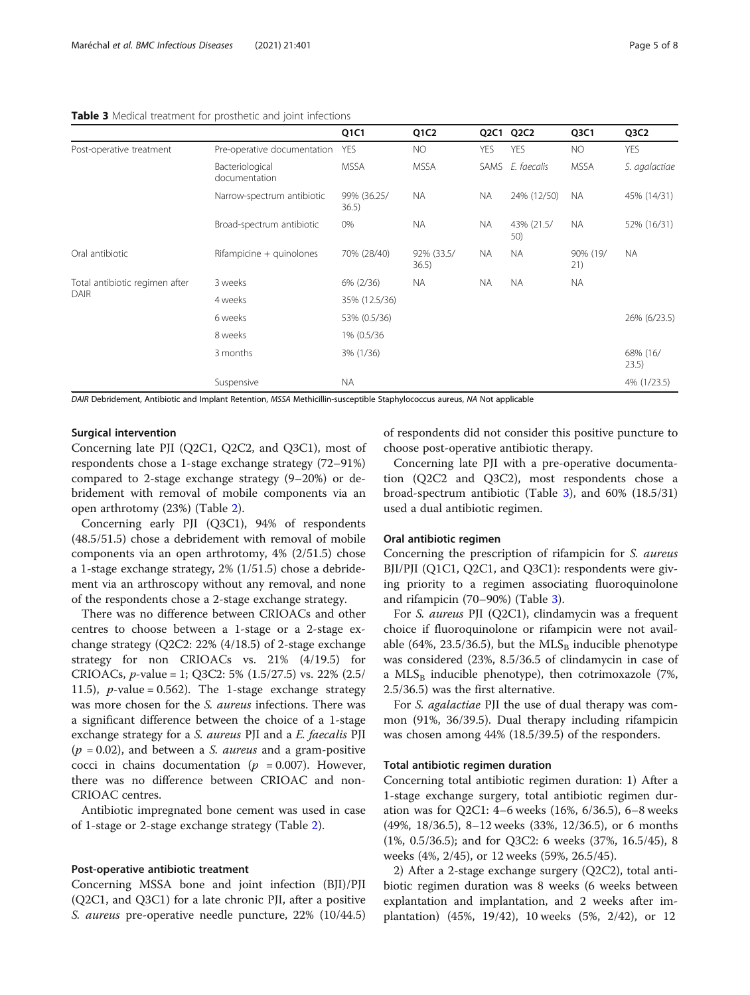<span id="page-4-0"></span>

| <b>Table 3</b> Medical treatment for prosthetic and joint infections |  |  |
|----------------------------------------------------------------------|--|--|
|----------------------------------------------------------------------|--|--|

|                                               |                                  | Q1C1                 | Q1C2                | Q2C1       | Q <sub>2</sub> C <sub>2</sub> | Q <sub>3</sub> C <sub>1</sub> | Q3C2              |
|-----------------------------------------------|----------------------------------|----------------------|---------------------|------------|-------------------------------|-------------------------------|-------------------|
| Post-operative treatment                      | Pre-operative documentation      | <b>YES</b>           | <b>NO</b>           | <b>YES</b> | <b>YES</b>                    | <b>NO</b>                     | <b>YES</b>        |
|                                               | Bacteriological<br>documentation | <b>MSSA</b>          | <b>MSSA</b>         |            | SAMS E. faecalis              | <b>MSSA</b>                   | S. agalactiae     |
|                                               | Narrow-spectrum antibiotic       | 99% (36.25/<br>36.5) | <b>NA</b>           | <b>NA</b>  | 24% (12/50)                   | <b>NA</b>                     | 45% (14/31)       |
|                                               | Broad-spectrum antibiotic        | 0%                   | <b>NA</b>           | NA.        | 43% (21.5/<br>50)             | <b>NA</b>                     | 52% (16/31)       |
| Oral antibiotic                               | Rifampicine + quinolones         | 70% (28/40)          | 92% (33.5/<br>36.5) | NA.        | <b>NA</b>                     | 90% (19/<br>21)               | <b>NA</b>         |
| Total antibiotic regimen after<br><b>DAIR</b> | 3 weeks                          | 6% (2/36)            | <b>NA</b>           | <b>NA</b>  | <b>NA</b>                     | <b>NA</b>                     |                   |
|                                               | 4 weeks                          | 35% (12.5/36)        |                     |            |                               |                               |                   |
|                                               | 6 weeks                          | 53% (0.5/36)         |                     |            |                               |                               | 26% (6/23.5)      |
|                                               | 8 weeks                          | 1% (0.5/36           |                     |            |                               |                               |                   |
|                                               | 3 months                         | 3% (1/36)            |                     |            |                               |                               | 68% (16/<br>23.5) |
|                                               | Suspensive                       | <b>NA</b>            |                     |            |                               |                               | 4% (1/23.5)       |

DAIR Debridement, Antibiotic and Implant Retention, MSSA Methicillin-susceptible Staphylococcus aureus, NA Not applicable

#### Surgical intervention

Concerning late PJI (Q2C1, Q2C2, and Q3C1), most of respondents chose a 1-stage exchange strategy (72–91%) compared to 2-stage exchange strategy (9–20%) or debridement with removal of mobile components via an open arthrotomy (23%) (Table [2\)](#page-3-0).

Concerning early PJI (Q3C1), 94% of respondents (48.5/51.5) chose a debridement with removal of mobile components via an open arthrotomy, 4% (2/51.5) chose a 1-stage exchange strategy, 2% (1/51.5) chose a debridement via an arthroscopy without any removal, and none of the respondents chose a 2-stage exchange strategy.

There was no difference between CRIOACs and other centres to choose between a 1-stage or a 2-stage exchange strategy (Q2C2: 22% (4/18.5) of 2-stage exchange strategy for non CRIOACs vs. 21% (4/19.5) for CRIOACs, *p*-value = 1; Q3C2: 5%  $(1.5/27.5)$  vs. 22%  $(2.5/$ 11.5), *p*-value = 0.562). The 1-stage exchange strategy was more chosen for the S. aureus infections. There was a significant difference between the choice of a 1-stage exchange strategy for a S. aureus PJI and a E. faecalis PJI  $(p = 0.02)$ , and between a *S. aureus* and a gram-positive cocci in chains documentation ( $p = 0.007$ ). However, there was no difference between CRIOAC and non-CRIOAC centres.

Antibiotic impregnated bone cement was used in case of 1-stage or 2-stage exchange strategy (Table [2\)](#page-3-0).

#### Post-operative antibiotic treatment

Concerning MSSA bone and joint infection (BJI)/PJI (Q2C1, and Q3C1) for a late chronic PJI, after a positive S. aureus pre-operative needle puncture, 22% (10/44.5) of respondents did not consider this positive puncture to choose post-operative antibiotic therapy.

Concerning late PJI with a pre-operative documentation (Q2C2 and Q3C2), most respondents chose a broad-spectrum antibiotic (Table 3), and 60% (18.5/31) used a dual antibiotic regimen.

#### Oral antibiotic regimen

Concerning the prescription of rifampicin for S. aureus BJI/PJI (Q1C1, Q2C1, and Q3C1): respondents were giving priority to a regimen associating fluoroquinolone and rifampicin (70–90%) (Table 3).

For S. aureus PJI (Q2C1), clindamycin was a frequent choice if fluoroquinolone or rifampicin were not available (64%, 23.5/36.5), but the  $MLS_B$  inducible phenotype was considered (23%, 8.5/36.5 of clindamycin in case of a MLS<sub>B</sub> inducible phenotype), then cotrimoxazole (7%, 2.5/36.5) was the first alternative.

For S. agalactiae PJI the use of dual therapy was common (91%, 36/39.5). Dual therapy including rifampicin was chosen among 44% (18.5/39.5) of the responders.

#### Total antibiotic regimen duration

Concerning total antibiotic regimen duration: 1) After a 1-stage exchange surgery, total antibiotic regimen duration was for Q2C1: 4–6 weeks (16%, 6/36.5), 6–8 weeks (49%, 18/36.5), 8–12 weeks (33%, 12/36.5), or 6 months (1%, 0.5/36.5); and for Q3C2: 6 weeks (37%, 16.5/45), 8 weeks (4%, 2/45), or 12 weeks (59%, 26.5/45).

2) After a 2-stage exchange surgery (Q2C2), total antibiotic regimen duration was 8 weeks (6 weeks between explantation and implantation, and 2 weeks after implantation) (45%, 19/42), 10 weeks (5%, 2/42), or 12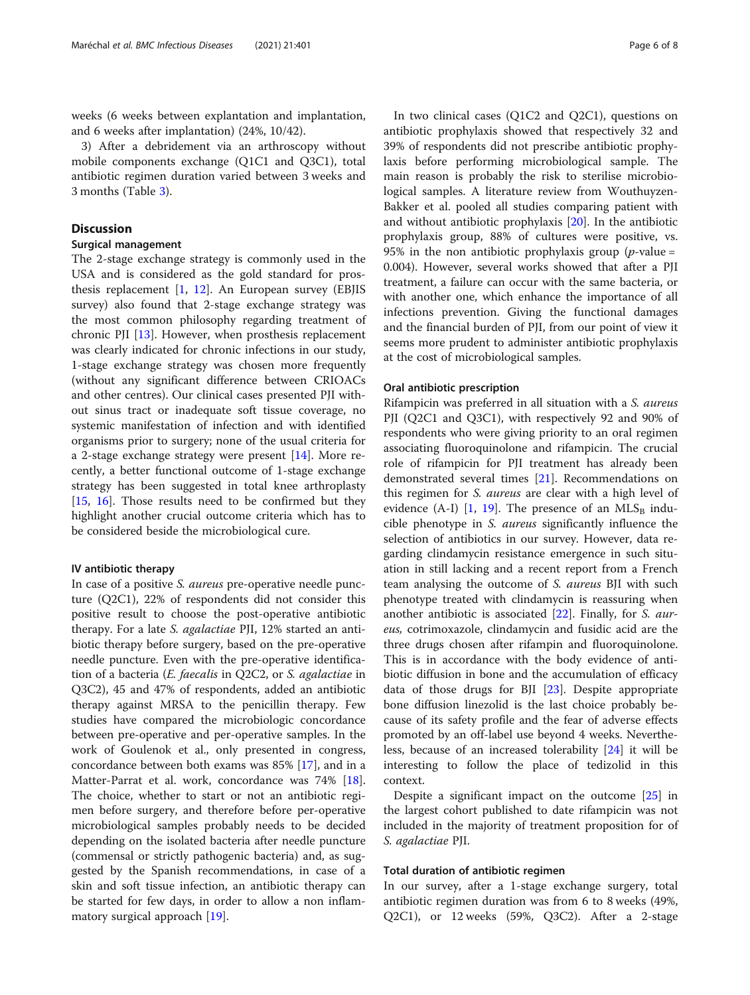weeks (6 weeks between explantation and implantation, and 6 weeks after implantation) (24%, 10/42).

3) After a debridement via an arthroscopy without mobile components exchange (Q1C1 and Q3C1), total antibiotic regimen duration varied between 3 weeks and 3 months (Table [3](#page-4-0)).

#### **Discussion**

#### Surgical management

The 2-stage exchange strategy is commonly used in the USA and is considered as the gold standard for prosthesis replacement  $[1, 12]$  $[1, 12]$  $[1, 12]$ . An European survey (EBJIS survey) also found that 2-stage exchange strategy was the most common philosophy regarding treatment of chronic PJI [[13](#page-7-0)]. However, when prosthesis replacement was clearly indicated for chronic infections in our study, 1-stage exchange strategy was chosen more frequently (without any significant difference between CRIOACs and other centres). Our clinical cases presented PJI without sinus tract or inadequate soft tissue coverage, no systemic manifestation of infection and with identified organisms prior to surgery; none of the usual criteria for a 2-stage exchange strategy were present [\[14\]](#page-7-0). More recently, a better functional outcome of 1-stage exchange strategy has been suggested in total knee arthroplasty [[15,](#page-7-0) [16](#page-7-0)]. Those results need to be confirmed but they highlight another crucial outcome criteria which has to be considered beside the microbiological cure.

#### IV antibiotic therapy

In case of a positive S. aureus pre-operative needle puncture (Q2C1), 22% of respondents did not consider this positive result to choose the post-operative antibiotic therapy. For a late S. agalactiae PJI, 12% started an antibiotic therapy before surgery, based on the pre-operative needle puncture. Even with the pre-operative identification of a bacteria (E. faecalis in Q2C2, or S. agalactiae in Q3C2), 45 and 47% of respondents, added an antibiotic therapy against MRSA to the penicillin therapy. Few studies have compared the microbiologic concordance between pre-operative and per-operative samples. In the work of Goulenok et al., only presented in congress, concordance between both exams was 85% [\[17\]](#page-7-0), and in a Matter-Parrat et al. work, concordance was 74% [\[18](#page-7-0)]. The choice, whether to start or not an antibiotic regimen before surgery, and therefore before per-operative microbiological samples probably needs to be decided depending on the isolated bacteria after needle puncture (commensal or strictly pathogenic bacteria) and, as suggested by the Spanish recommendations, in case of a skin and soft tissue infection, an antibiotic therapy can be started for few days, in order to allow a non inflammatory surgical approach [[19\]](#page-7-0).

In two clinical cases (Q1C2 and Q2C1), questions on antibiotic prophylaxis showed that respectively 32 and 39% of respondents did not prescribe antibiotic prophylaxis before performing microbiological sample. The main reason is probably the risk to sterilise microbiological samples. A literature review from Wouthuyzen-Bakker et al. pooled all studies comparing patient with and without antibiotic prophylaxis [\[20](#page-7-0)]. In the antibiotic prophylaxis group, 88% of cultures were positive, vs. 95% in the non antibiotic prophylaxis group ( $p$ -value = 0.004). However, several works showed that after a PJI treatment, a failure can occur with the same bacteria, or with another one, which enhance the importance of all infections prevention. Giving the functional damages and the financial burden of PJI, from our point of view it seems more prudent to administer antibiotic prophylaxis at the cost of microbiological samples.

#### Oral antibiotic prescription

Rifampicin was preferred in all situation with a S. aureus PJI (Q2C1 and Q3C1), with respectively 92 and 90% of respondents who were giving priority to an oral regimen associating fluoroquinolone and rifampicin. The crucial role of rifampicin for PJI treatment has already been demonstrated several times [[21\]](#page-7-0). Recommendations on this regimen for S. aureus are clear with a high level of evidence (A-I)  $[1, 19]$  $[1, 19]$  $[1, 19]$  $[1, 19]$ . The presence of an MLS<sub>B</sub> inducible phenotype in S. aureus significantly influence the selection of antibiotics in our survey. However, data regarding clindamycin resistance emergence in such situation in still lacking and a recent report from a French team analysing the outcome of S. aureus BJI with such phenotype treated with clindamycin is reassuring when another antibiotic is associated [[22\]](#page-7-0). Finally, for S. aureus, cotrimoxazole, clindamycin and fusidic acid are the three drugs chosen after rifampin and fluoroquinolone. This is in accordance with the body evidence of antibiotic diffusion in bone and the accumulation of efficacy data of those drugs for BJI [[23](#page-7-0)]. Despite appropriate bone diffusion linezolid is the last choice probably because of its safety profile and the fear of adverse effects promoted by an off-label use beyond 4 weeks. Nevertheless, because of an increased tolerability [[24](#page-7-0)] it will be interesting to follow the place of tedizolid in this context.

Despite a significant impact on the outcome [[25\]](#page-7-0) in the largest cohort published to date rifampicin was not included in the majority of treatment proposition for of S. agalactiae PJI.

#### Total duration of antibiotic regimen

In our survey, after a 1-stage exchange surgery, total antibiotic regimen duration was from 6 to 8 weeks (49%, Q2C1), or 12 weeks (59%, Q3C2). After a 2-stage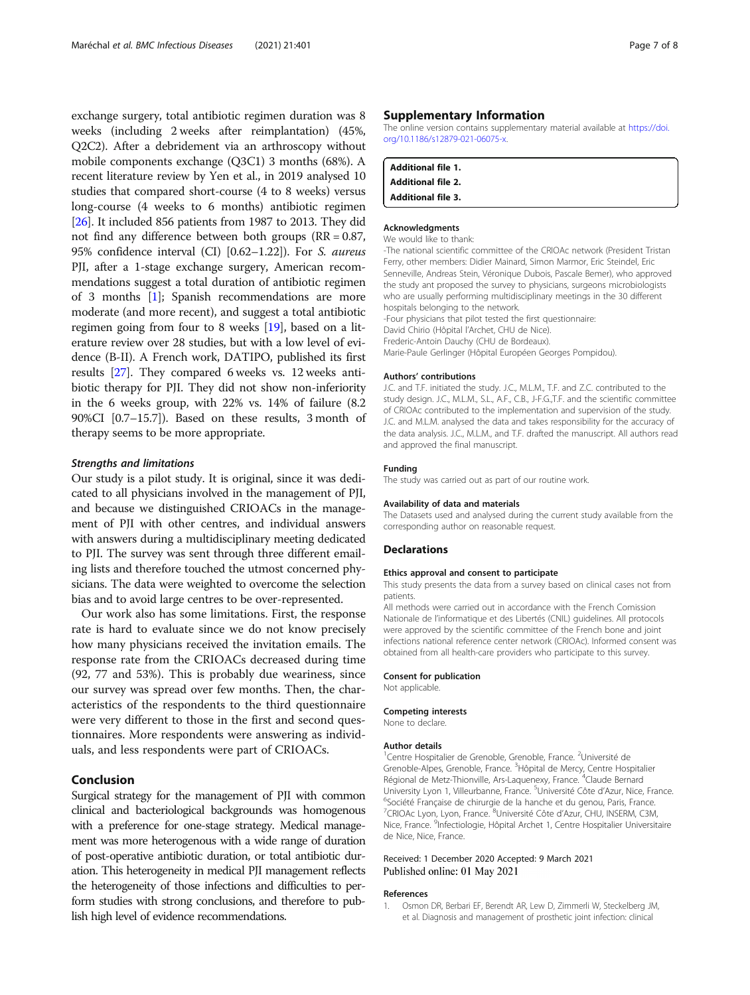<span id="page-6-0"></span>exchange surgery, total antibiotic regimen duration was 8 weeks (including 2 weeks after reimplantation) (45%, Q2C2). After a debridement via an arthroscopy without mobile components exchange (Q3C1) 3 months (68%). A recent literature review by Yen et al., in 2019 analysed 10 studies that compared short-course (4 to 8 weeks) versus long-course (4 weeks to 6 months) antibiotic regimen [[26](#page-7-0)]. It included 856 patients from 1987 to 2013. They did not find any difference between both groups (RR = 0.87, 95% confidence interval (CI) [0.62–1.22]). For S. aureus PJI, after a 1-stage exchange surgery, American recommendations suggest a total duration of antibiotic regimen of 3 months [1]; Spanish recommendations are more moderate (and more recent), and suggest a total antibiotic regimen going from four to 8 weeks [[19](#page-7-0)], based on a literature review over 28 studies, but with a low level of evidence (B-II). A French work, DATIPO, published its first results [[27](#page-7-0)]. They compared 6 weeks vs. 12 weeks antibiotic therapy for PJI. They did not show non-inferiority in the 6 weeks group, with 22% vs. 14% of failure (8.2 90%CI [0.7–15.7]). Based on these results, 3 month of therapy seems to be more appropriate.

#### Strengths and limitations

Our study is a pilot study. It is original, since it was dedicated to all physicians involved in the management of PJI, and because we distinguished CRIOACs in the management of PJI with other centres, and individual answers with answers during a multidisciplinary meeting dedicated to PJI. The survey was sent through three different emailing lists and therefore touched the utmost concerned physicians. The data were weighted to overcome the selection bias and to avoid large centres to be over-represented.

Our work also has some limitations. First, the response rate is hard to evaluate since we do not know precisely how many physicians received the invitation emails. The response rate from the CRIOACs decreased during time (92, 77 and 53%). This is probably due weariness, since our survey was spread over few months. Then, the characteristics of the respondents to the third questionnaire were very different to those in the first and second questionnaires. More respondents were answering as individuals, and less respondents were part of CRIOACs.

### Conclusion

Surgical strategy for the management of PJI with common clinical and bacteriological backgrounds was homogenous with a preference for one-stage strategy. Medical management was more heterogenous with a wide range of duration of post-operative antibiotic duration, or total antibiotic duration. This heterogeneity in medical PJI management reflects the heterogeneity of those infections and difficulties to perform studies with strong conclusions, and therefore to publish high level of evidence recommendations.

#### Supplementary Information

The online version contains supplementary material available at [https://doi.](https://doi.org/10.1186/s12879-021-06075-x) [org/10.1186/s12879-021-06075-x](https://doi.org/10.1186/s12879-021-06075-x).

| <b>Additional file 1.</b> |  |
|---------------------------|--|
| <b>Additional file 2.</b> |  |
| <b>Additional file 3.</b> |  |

#### Acknowledgments

#### We would like to thank:

-The national scientific committee of the CRIOAc network (President Tristan Ferry, other members: Didier Mainard, Simon Marmor, Eric Steindel, Eric Senneville, Andreas Stein, Véronique Dubois, Pascale Bemer), who approved the study ant proposed the survey to physicians, surgeons microbiologists who are usually performing multidisciplinary meetings in the 30 different hospitals belonging to the network.

-Four physicians that pilot tested the first questionnaire: David Chirio (Hôpital l'Archet, CHU de Nice). Frederic-Antoin Dauchy (CHU de Bordeaux). Marie-Paule Gerlinger (Hôpital Européen Georges Pompidou).

#### Authors' contributions

J.C. and T.F. initiated the study. J.C., M.L.M., T.F. and Z.C. contributed to the study design. J.C., M.L.M., S.L., A.F., C.B., J-F.G.,T.F. and the scientific committee of CRIOAc contributed to the implementation and supervision of the study. J.C. and M.L.M. analysed the data and takes responsibility for the accuracy of the data analysis. J.C., M.L.M., and T.F. drafted the manuscript. All authors read and approved the final manuscript.

#### Funding

The study was carried out as part of our routine work.

#### Availability of data and materials

The Datasets used and analysed during the current study available from the corresponding author on reasonable request.

#### Declarations

#### Ethics approval and consent to participate

This study presents the data from a survey based on clinical cases not from patients.

All methods were carried out in accordance with the French Comission Nationale de l'informatique et des Libertés (CNIL) guidelines. All protocols were approved by the scientific committee of the French bone and joint infections national reference center network (CRIOAc). Informed consent was obtained from all health-care providers who participate to this survey.

#### Consent for publication

Not applicable.

#### Competing interests

None to declare.

#### Author details

<sup>1</sup> Centre Hospitalier de Grenoble, Grenoble, France. <sup>2</sup>Université de Grenoble-Alpes, Grenoble, France. <sup>3</sup>Hôpital de Mercy, Centre Hospitalier Régional de Metz-Thionville, Ars-Laquenexy, France. <sup>4</sup>Claude Bernard University Lyon 1, Villeurbanne, France. <sup>5</sup>Université Côte d'Azur, Nice, France <sup>6</sup>Société Française de chirurgie de la hanche et du genou, Paris, France. <sup>7</sup>CRIOAc Lyon, Lyon, France. <sup>8</sup>Université Côte d'Azur, CHU, INSERM, C3M Nice, France. <sup>9</sup>Infectiologie, Hôpital Archet 1, Centre Hospitalier Universitaire de Nice, Nice, France.

#### Received: 1 December 2020 Accepted: 9 March 2021 Published online: 01 May 2021

#### References

1. Osmon DR, Berbari EF, Berendt AR, Lew D, Zimmerli W, Steckelberg JM, et al. Diagnosis and management of prosthetic joint infection: clinical